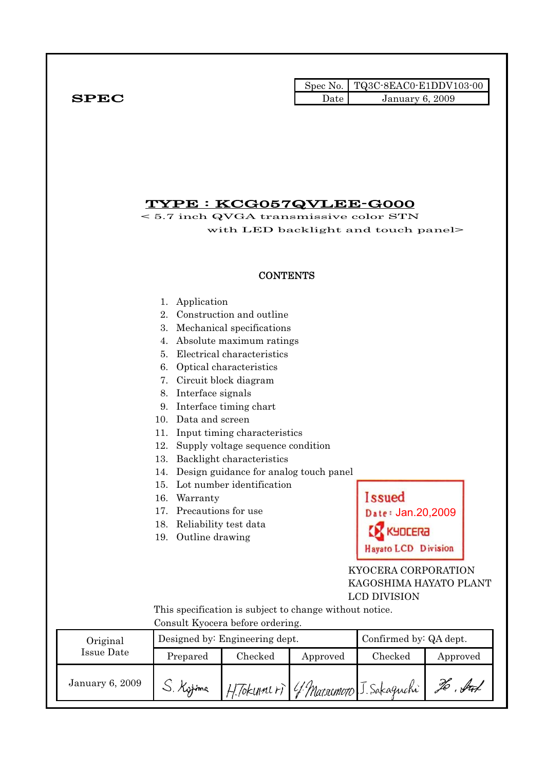Spec No. TQ3C-8EAC0-E1DDV103-00  $SPEC$  Date January 6, 2009

# TYPE : KCG057QVLEE-G000

< 5.7 inch QVGA transmissive color STN with LED backlight and touch panel>

### **CONTENTS**

#### 1. Application

- 2. Construction and outline
- 3. Mechanical specifications
- 4. Absolute maximum ratings
- 5. Electrical characteristics
- 6. Optical characteristics
- 7. Circuit block diagram
- 8. Interface signals
- 9. Interface timing chart
- 10. Data and screen
- 11. Input timing characteristics
- 12. Supply voltage sequence condition
- 13. Backlight characteristics
- 14. Design guidance for analog touch panel
- 15. Lot number identification
- 16. Warranty
- 17. Precautions for use
- 18. Reliability test data
- 19. Outline drawing

# **Issued** Date: Jan.20,2009 KYDCERA **Hayato LCD Division**

 KYOCERA CORPORATION KAGOSHIMA HAYATO PLANT LCD DIVISION

 This specification is subject to change without notice. Consult Kyocera before ordering.

| Original        |           | Designed by: Engineering dept. | Confirmed by: QA dept.               |         |                      |
|-----------------|-----------|--------------------------------|--------------------------------------|---------|----------------------|
| Issue Date      | Prepared  | Checked                        | Approved                             | Checked | Approved             |
| January 6, 2009 | J. Kytima |                                | H.Tokunnir) 4 Marsomoto J. Sakaguchi |         | $.$ for $\ell$<br>Vо |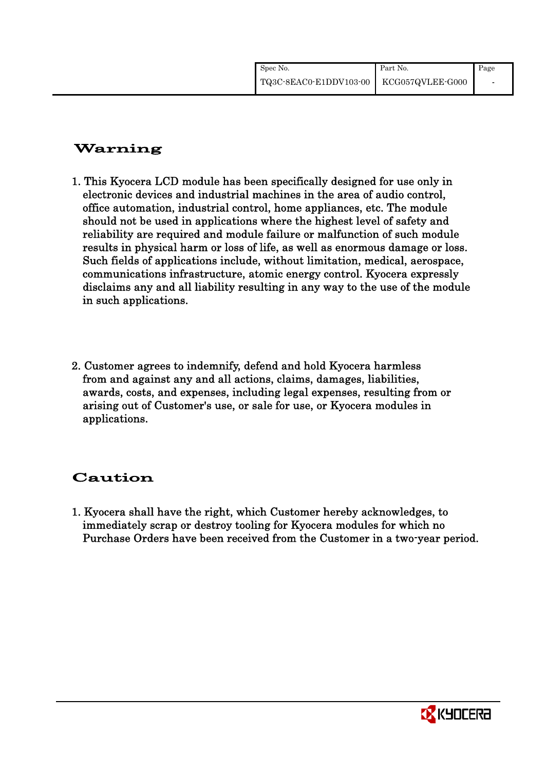| Spec No.                                | Part No. | Page |
|-----------------------------------------|----------|------|
| TQ3C-8EAC0-E1DDV103-00 KCG057QVLEE-G000 |          |      |

# Warning

- 1. This Kyocera LCD module has been specifically designed for use only in electronic devices and industrial machines in the area of audio control, office automation, industrial control, home appliances, etc. The module should not be used in applications where the highest level of safety and reliability are required and module failure or malfunction of such module results in physical harm or loss of life, as well as enormous damage or loss. Such fields of applications include, without limitation, medical, aerospace, communications infrastructure, atomic energy control. Kyocera expressly disclaims any and all liability resulting in any way to the use of the module in such applications.
- 2. Customer agrees to indemnify, defend and hold Kyocera harmless from and against any and all actions, claims, damages, liabilities, awards, costs, and expenses, including legal expenses, resulting from or arising out of Customer's use, or sale for use, or Kyocera modules in applications.

# Caution

1. Kyocera shall have the right, which Customer hereby acknowledges, to immediately scrap or destroy tooling for Kyocera modules for which no Purchase Orders have been received from the Customer in a two-year period.

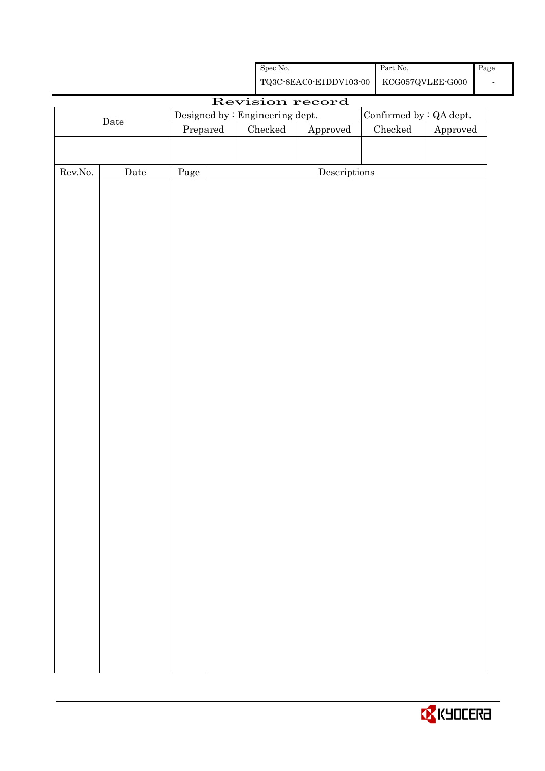| Spec No.                                | Part No. | Page |
|-----------------------------------------|----------|------|
| TQ3C-8EAC0-E1DDV103-00 KCG057QVLEE-G000 |          | -    |

# Revision record

|                  | $\rm{\textbf{Date}}$ | Designed by : Engineering dept.                                          |  |  | Confirmed by $\colon$ QA dept.       |  |          |  |  |  |
|------------------|----------------------|--------------------------------------------------------------------------|--|--|--------------------------------------|--|----------|--|--|--|
|                  |                      | Approved<br>Checked<br>$\rm Checked$<br>$\ensuremath{\mathrm{Prepared}}$ |  |  |                                      |  | Approved |  |  |  |
|                  |                      |                                                                          |  |  |                                      |  |          |  |  |  |
|                  |                      |                                                                          |  |  |                                      |  |          |  |  |  |
| ${\rm Rev. No.}$ | $\rm{Date}$          | Page                                                                     |  |  | $\label{eq:2} \textbf{Descriptions}$ |  |          |  |  |  |
|                  |                      |                                                                          |  |  |                                      |  |          |  |  |  |
|                  |                      |                                                                          |  |  |                                      |  |          |  |  |  |
|                  |                      |                                                                          |  |  |                                      |  |          |  |  |  |
|                  |                      |                                                                          |  |  |                                      |  |          |  |  |  |
|                  |                      |                                                                          |  |  |                                      |  |          |  |  |  |
|                  |                      |                                                                          |  |  |                                      |  |          |  |  |  |
|                  |                      |                                                                          |  |  |                                      |  |          |  |  |  |
|                  |                      |                                                                          |  |  |                                      |  |          |  |  |  |
|                  |                      |                                                                          |  |  |                                      |  |          |  |  |  |
|                  |                      |                                                                          |  |  |                                      |  |          |  |  |  |
|                  |                      |                                                                          |  |  |                                      |  |          |  |  |  |
|                  |                      |                                                                          |  |  |                                      |  |          |  |  |  |
|                  |                      |                                                                          |  |  |                                      |  |          |  |  |  |
|                  |                      |                                                                          |  |  |                                      |  |          |  |  |  |
|                  |                      |                                                                          |  |  |                                      |  |          |  |  |  |
|                  |                      |                                                                          |  |  |                                      |  |          |  |  |  |
|                  |                      |                                                                          |  |  |                                      |  |          |  |  |  |
|                  |                      |                                                                          |  |  |                                      |  |          |  |  |  |
|                  |                      |                                                                          |  |  |                                      |  |          |  |  |  |
|                  |                      |                                                                          |  |  |                                      |  |          |  |  |  |
|                  |                      |                                                                          |  |  |                                      |  |          |  |  |  |
|                  |                      |                                                                          |  |  |                                      |  |          |  |  |  |
|                  |                      |                                                                          |  |  |                                      |  |          |  |  |  |
|                  |                      |                                                                          |  |  |                                      |  |          |  |  |  |
|                  |                      |                                                                          |  |  |                                      |  |          |  |  |  |
|                  |                      |                                                                          |  |  |                                      |  |          |  |  |  |
|                  |                      |                                                                          |  |  |                                      |  |          |  |  |  |
|                  |                      |                                                                          |  |  |                                      |  |          |  |  |  |
|                  |                      |                                                                          |  |  |                                      |  |          |  |  |  |
|                  |                      |                                                                          |  |  |                                      |  |          |  |  |  |
|                  |                      |                                                                          |  |  |                                      |  |          |  |  |  |

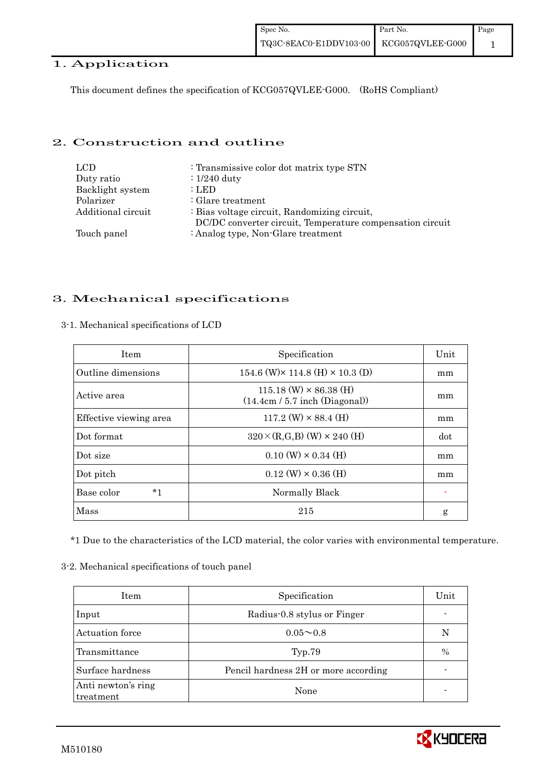# 1. Application

This document defines the specification of KCG057QVLEE-G000. (RoHS Compliant)

# 2. Construction and outline

| LCD.               | : Transmissive color dot matrix type STN                  |
|--------------------|-----------------------------------------------------------|
| Duty ratio         | $: 1/240$ duty                                            |
| Backlight system   | : LED                                                     |
| Polarizer          | : Glare treatment                                         |
| Additional circuit | : Bias voltage circuit, Randomizing circuit,              |
|                    | DC/DC converter circuit, Temperature compensation circuit |
| Touch panel        | : Analog type, Non-Glare treatment                        |

# 3. Mechanical specifications

| <b>Item</b>            | Specification                                                     | Unit |
|------------------------|-------------------------------------------------------------------|------|
| Outline dimensions     | 154.6 (W) $\times$ 114.8 (H) $\times$ 10.3 (D)                    | mm   |
| Active area            | $115.18$ (W) $\times$ 86.38 (H)<br>(14.4cm / 5.7 inch (Diagonal)) | mm   |
| Effective viewing area | $117.2$ (W) $\times$ 88.4 (H)                                     | mm   |
| Dot format             | $320 \times (R,G,B)$ (W) $\times$ 240 (H)                         | dot  |
| Dot size               | $0.10 \text{ (W)} \times 0.34 \text{ (H)}$                        | mm   |
| Dot pitch              | $0.12$ (W) $\times$ 0.36 (H)                                      | mm   |
| $*1$<br>Base color     | Normally Black                                                    |      |
| Mass                   | 215                                                               | g    |

3-1. Mechanical specifications of LCD

\*1 Due to the characteristics of the LCD material, the color varies with environmental temperature.

#### 3-2. Mechanical specifications of touch panel

| Item                            | Specification                        | Unit          |
|---------------------------------|--------------------------------------|---------------|
| Input                           | Radius-0.8 stylus or Finger          |               |
| Actuation force                 | $0.05 \sim 0.8$                      | N             |
| Transmittance                   | Typ.79                               | $\frac{0}{0}$ |
| Surface hardness                | Pencil hardness 2H or more according |               |
| Anti newton's ring<br>treatment | None                                 |               |

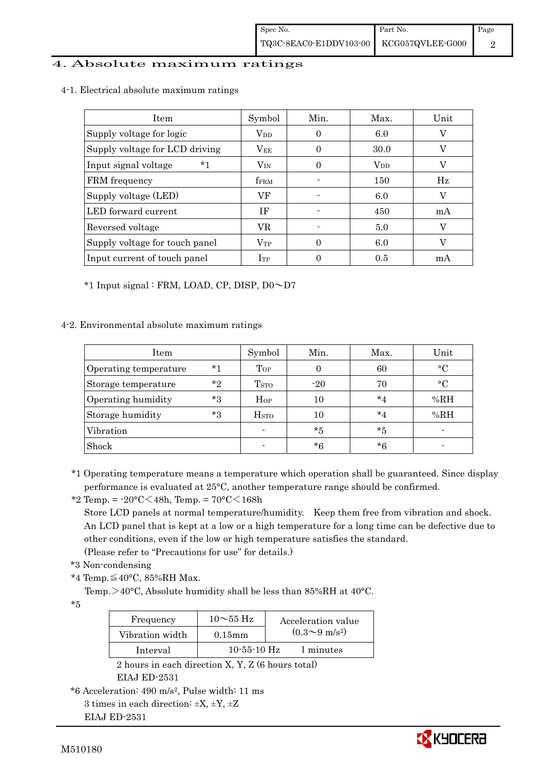### 4. Absolute maximum ratings

| 4-1. Electrical absolute maximum ratings |  |  |  |  |  |
|------------------------------------------|--|--|--|--|--|
|------------------------------------------|--|--|--|--|--|

| <b>Item</b>                    | Symbol                 | Min.     | Max.                    | Unit |
|--------------------------------|------------------------|----------|-------------------------|------|
| Supply voltage for logic       | <b>V</b> <sub>DD</sub> | $\theta$ | 6.0                     |      |
| Supply voltage for LCD driving | $V_{EE}$               | $\Omega$ | 30.0                    |      |
| Input signal voltage<br>*1     | $\rm V_{IN}$           |          | $\operatorname{V_{DD}}$ |      |
| FRM frequency                  | <b>fFRM</b>            |          | 150                     | Hz   |
| Supply voltage (LED)           | VF                     |          | 6.0                     | V    |
| LED forward current            | ΙF                     |          | 450                     | mA   |
| Reversed voltage               | VR                     |          | 5.0                     | V    |
| Supply voltage for touch panel | $\rm V_{TP}$           | 0        | 6.0                     | V    |
| Input current of touch panel   | $_{\rm{Irp}}$          |          | 0.5                     | mA   |

\*1 Input signal : FRM, LOAD, CP, DISP, D0~D7

#### 4-2. Environmental absolute maximum ratings

| Item                  |         | Symbol                  | Min.    | Max.    | Unit         |
|-----------------------|---------|-------------------------|---------|---------|--------------|
| Operating temperature | $*1$    | Top                     |         | 60      | $^{\circ}$ C |
| Storage temperature   | $*$ ?   | <b>T</b> <sub>STO</sub> | $-20$   | 70      | $^{\circ}$   |
| Operating humidity    | *3      | $H_{OP}$                | 10      | $*_{4}$ | %RH          |
| Storage humidity      | $*_{3}$ | <b>H</b> <sub>sto</sub> | 10      | $*_{4}$ | %RH          |
| Vibration             |         | $\blacksquare$          | $*_{5}$ | $*5$    |              |
| Shock                 |         |                         | $*6$    | *6      |              |

\*1 Operating temperature means a temperature which operation shall be guaranteed. Since display performance is evaluated at 25°C, another temperature range should be confirmed.

\*2 Temp. = -20°C<48h, Temp. = 70°C<168h

 Store LCD panels at normal temperature/humidity. Keep them free from vibration and shock. An LCD panel that is kept at a low or a high temperature for a long time can be defective due to other conditions, even if the low or high temperature satisfies the standard.

(Please refer to "Precautions for use" for details.)

- \*3 Non-condensing
- \*4 Temp.≦40°C, 85%RH Max.

Temp. $>40^{\circ}$ C, Absolute humidity shall be less than 85%RH at 40°C.

\*5

| Frequency       | $10\sim$ 55 Hz | Acceleration value           |
|-----------------|----------------|------------------------------|
| Vibration width | $0.15$ m m     | $(0.3 \sim 9 \text{ m/s}^2)$ |
| Interval        | $10-55-10$ Hz  | 1 minutes                    |

 2 hours in each direction X, Y, Z (6 hours total) EIAJ ED-2531

EIAJ ED-2531



<sup>\*6</sup> Acceleration: 490 m/s2, Pulse width: 11 ms 3 times in each direction:  $\pm X$ ,  $\pm Y$ ,  $\pm Z$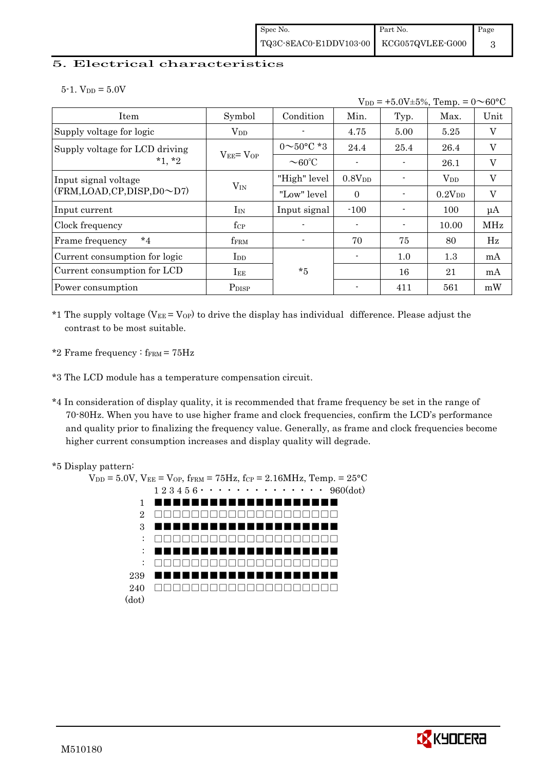### 5. Electrical characteristics

 $5-1.$  V<sub>DD</sub> =  $5.0V$ 

|                                |                   |                          |                    | $V_{DD} = +5.0V \pm 5\%,$ Temp. = $0 \sim 60^{\circ}$ C |              |                           |  |  |  |  |  |
|--------------------------------|-------------------|--------------------------|--------------------|---------------------------------------------------------|--------------|---------------------------|--|--|--|--|--|
| Item                           | Symbol            | Condition                | Min.               | Typ.                                                    | Max.         | Unit                      |  |  |  |  |  |
| Supply voltage for logic       | $\rm V_{DD}$      |                          | 4.75               | 5.00                                                    | 5.25         | $\boldsymbol{\mathrm{V}}$ |  |  |  |  |  |
| Supply voltage for LCD driving |                   | $0 \sim 50^{\circ}$ C *3 | 24.4               | 25.4                                                    | 26.4         | V                         |  |  |  |  |  |
| $*1, *2$                       | $V_{EE} = V_{OP}$ | $\sim$ 60°C              |                    |                                                         | 26.1         | V                         |  |  |  |  |  |
| Input signal voltage           |                   | "High" level             | 0.8V <sub>DD</sub> |                                                         | $\rm V_{DD}$ | V                         |  |  |  |  |  |
| (FRM,LOAD,CP,DISP,D0~D7)       | $V_{IN}$          | "Low" level              | $\Omega$           |                                                         | $0.2V_{DD}$  | V                         |  |  |  |  |  |
| Input current                  | $I_{IN}$          | Input signal             | $-100$             |                                                         | 100          | $\mu A$                   |  |  |  |  |  |
| Clock frequency                | $f_{\rm CP}$      |                          |                    |                                                         | 10.00        | <b>MHz</b>                |  |  |  |  |  |
| $*_{4}$<br>Frame frequency     | fFRM              |                          | 70                 | 75                                                      | 80           | Hz                        |  |  |  |  |  |
| Current consumption for logic  | $_{\rm{LDD}}$     |                          |                    | 1.0                                                     | 1.3          | mA                        |  |  |  |  |  |
| Current consumption for LCD    | $I_{EE}$          | $*5$                     |                    | 16                                                      | 21           | mA                        |  |  |  |  |  |
| Power consumption              | P <sub>DISP</sub> |                          |                    | 411                                                     | 561          | mW                        |  |  |  |  |  |

\*1 The supply voltage ( $V_{EE} = V_{OP}$ ) to drive the display has individual difference. Please adjust the contrast to be most suitable.

\*2 Frame frequency :  $f_{\text{FRM}}$  =  $75\text{Hz}$ 

\*3 The LCD module has a temperature compensation circuit.

\*4 In consideration of display quality, it is recommended that frame frequency be set in the range of 70-80Hz. When you have to use higher frame and clock frequencies, confirm the LCD's performance and quality prior to finalizing the frequency value. Generally, as frame and clock frequencies become higher current consumption increases and display quality will degrade.



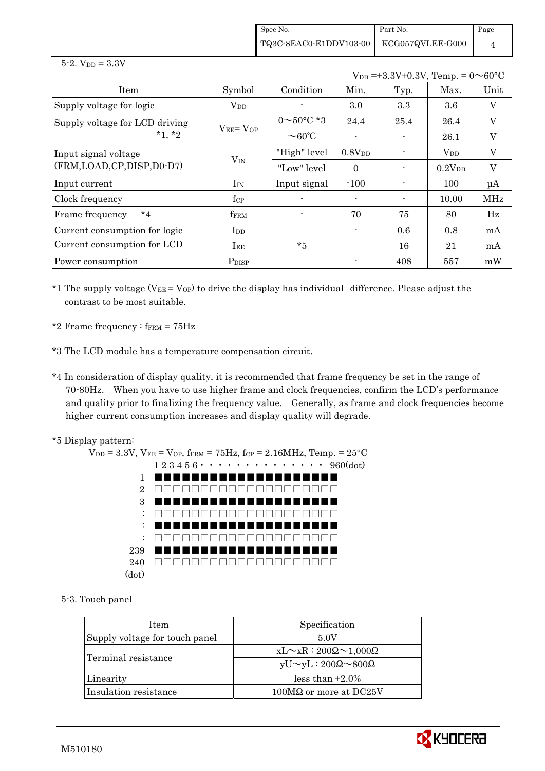Spec No. TQ3C-8EAC0-E1DDV103-00 Part No. KCG057QVLEE-G000 Page 4

 $5 - 2.$  V<sub>DD</sub> =  $3.3V$ 

 $V_{DD} = +3.3V \pm 0.3V$ , Temp. =  $0 \sim 60^{\circ}$ C

| Item                           | Symbol                                       | Condition                | Min.               | Typ. | Max.               | Unit                      |
|--------------------------------|----------------------------------------------|--------------------------|--------------------|------|--------------------|---------------------------|
| Supply voltage for logic       | $V_{DD}$                                     |                          | 3.0                | 3.3  | 3.6                | $\boldsymbol{\mathrm{V}}$ |
| Supply voltage for LCD driving |                                              | $0 \sim 50^{\circ}$ C *3 | 24.4               | 25.4 | 26.4               | V                         |
| $*1, *2$                       | $V_{EE} = V_{OP}$                            | $\sim$ 60°C              | $\overline{a}$     |      | 26.1               | V                         |
| Input signal voltage           |                                              | "High" level             | 0.8V <sub>DD</sub> |      | $\rm V_{DD}$       | V                         |
| (FRM, LOAD, CP, DISP, D0-D7)   | $V_{IN}$                                     | "Low" level              | $\theta$           |      | 0.2V <sub>DD</sub> | $\boldsymbol{\mathrm{V}}$ |
| Input current                  | $I_{IN}$                                     | Input signal             | $-100$             |      | 100                | $\mu A$                   |
| Clock frequency                | $f_{\rm CP}$                                 |                          |                    |      | 10.00              | MHz                       |
| $*_{4}$<br>Frame frequency     | fFRM                                         |                          | 70                 | 75   | 80                 | Hz                        |
| Current consumption for logic  | $\mathop{\mathrm{I}}\nolimits_{\mathrm{DD}}$ |                          |                    | 0.6  | 0.8                | mA                        |
| Current consumption for LCD    | $I_{EE}$                                     | $*5$                     |                    | 16   | 21                 | mA                        |
| Power consumption              | P <sub>DISP</sub>                            |                          |                    | 408  | 557                | mW                        |

\*1 The supply voltage ( $V_{EE} = V_{OP}$ ) to drive the display has individual difference. Please adjust the contrast to be most suitable.

- \*2 Frame frequency  $:$  f<sub>FRM</sub> =  $75Hz$
- \*3 The LCD module has a temperature compensation circuit.
- \*4 In consideration of display quality, it is recommended that frame frequency be set in the range of 70-80Hz. When you have to use higher frame and clock frequencies, confirm the LCD's performance and quality prior to finalizing the frequency value. Generally, as frame and clock frequencies become higher current consumption increases and display quality will degrade.
- \*5 Display pattern:

 $V_{DD} = 3.3V$ ,  $V_{EE} = V_{OP}$ ,  $f_{FRM} = 75Hz$ ,  $f_{CP} = 2.16MHz$ ,  $T_{emp} = 25°C$  1 2 3 4 5 6・・・・・・・・・・・・・・ 960(dot) 1 2 3 : : : 239 240 (dot) ■■■■■■■■■■■■■■■■■■■■ □□□□□□□□□□□□□□□□□□□□ ■■■■■■■■■■■■■■■■■■■■ □□□□□□□□□□□□□□□□□□□□ ■■■■■■■■■■■■■■■■■■■■ □□□□□□□□□□□□□□□□□□□□ ■■■■■■■■■■■■■■■■■■■■ □□□□□□□□□□□□□□□□□□□□

5-3. Touch panel

| Item                           | Specification                             |
|--------------------------------|-------------------------------------------|
| Supply voltage for touch panel | 5.0V                                      |
|                                | $xL \sim xR : 200\Omega \sim 1,000\Omega$ |
| Terminal resistance            | $yU \sim yL : 200\Omega \sim 800\Omega$   |
| Linearity                      | less than $\pm 2.0\%$                     |
| Insulation resistance          | $100\text{M}\Omega$ or more at DC25V      |

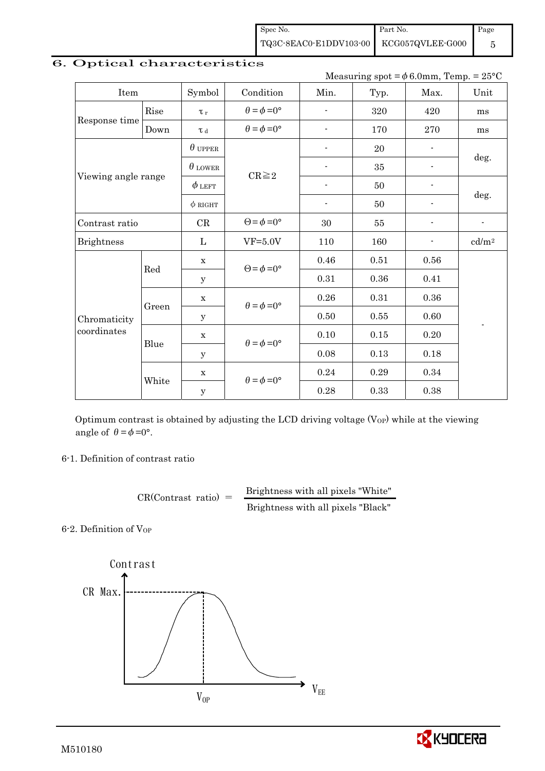Spec No. TQ3C-8EAC0-E1DDV103-00 Part No. KCG057QVLEE-G000 Page 5

| measuring spot $-\varphi$ o.omm, Temp. $-$ 25 U |       |                |                             |                          |          |                          |                          |  |
|-------------------------------------------------|-------|----------------|-----------------------------|--------------------------|----------|--------------------------|--------------------------|--|
| Item                                            |       | Symbol         | Condition                   | Min.                     | Typ.     | Max.                     | Unit                     |  |
| Rise                                            |       | $\tau_r$       | $\theta = \phi = 0^{\circ}$ |                          | 320      | 420                      | ms                       |  |
| Response time                                   | Down  | $\tau$ d       | $\theta = \phi = 0^{\circ}$ |                          | 170      | 270                      | ms                       |  |
|                                                 |       | $\theta$ upper |                             | $\overline{\phantom{a}}$ | 20       |                          |                          |  |
|                                                 |       | $\theta$ lower |                             | $\overline{\phantom{a}}$ | 35       | $\overline{\phantom{a}}$ | deg.                     |  |
| Viewing angle range                             |       | $\phi$ left    | $CR \geq 2$                 |                          | 50       |                          |                          |  |
|                                                 |       | $\phi$ RIGHT   |                             | $\overline{\phantom{a}}$ | 50       |                          | deg.                     |  |
| Contrast ratio                                  |       | CR             | $\Theta = \phi = 0^{\circ}$ | 30                       | 55       | $\overline{\phantom{a}}$ | $\overline{\phantom{a}}$ |  |
| <b>Brightness</b>                               |       | $\mathbf{L}$   | $VF=5.0V$                   | 110                      | 160      | $\blacksquare$           | cd/m <sup>2</sup>        |  |
|                                                 | Red   | $\mathbf X$    | $\Theta = \phi = 0^{\circ}$ | 0.46                     | 0.51     | $0.56\,$                 |                          |  |
|                                                 |       | $\mathbf y$    |                             | 0.31                     | 0.36     | 0.41                     |                          |  |
|                                                 |       | $\mathbf X$    |                             | 0.26                     | 0.31     | 0.36                     |                          |  |
| Chromaticity<br>coordinates                     | Green | У              | $\theta = \phi = 0^{\circ}$ | 0.50                     | $0.55\,$ | 0.60                     |                          |  |
|                                                 |       | $\mathbf X$    | $\theta = \phi = 0^{\circ}$ | 0.10                     | 0.15     | $0.20\,$                 |                          |  |
|                                                 | Blue  | $\mathbf y$    |                             | 0.08                     | 0.13     | 0.18                     |                          |  |
|                                                 |       | $\mathbf X$    |                             | 0.24                     | 0.29     | 0.34                     |                          |  |
|                                                 | White | $\mathbf{y}$   | $\theta = \phi = 0^{\circ}$ | 0.28                     | 0.33     | 0.38                     |                          |  |

# 6. Optical characteristics

Measuring spot  $= \phi_0^c$ .0mm, Temp. = 25°C.

Optimum contrast is obtained by adjusting the LCD driving voltage  $(V<sub>OP</sub>)$  while at the viewing angle of  $\theta = \phi = 0^{\circ}$ .

6-1. Definition of contrast ratio

 $CR(Contrast ratio) =$  Brightness with all pixels "White" Brightness with all pixels "Black"

6-2. Definition of VOP



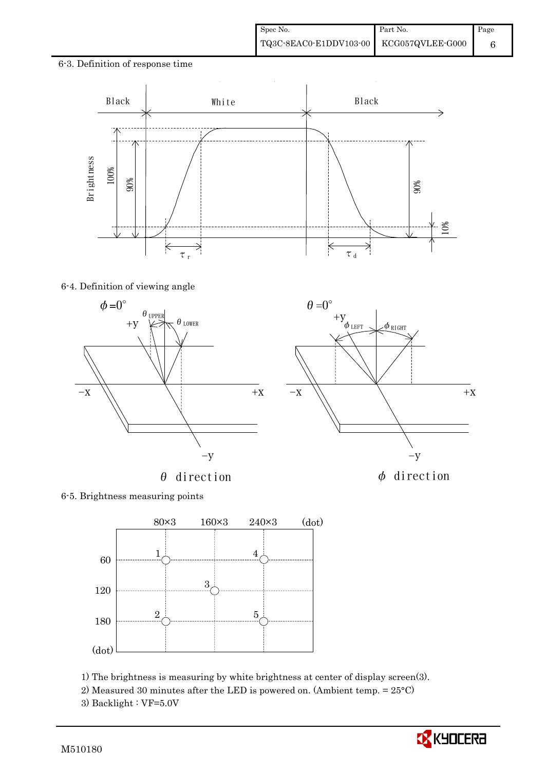6-3. Definition of response time



 $\theta=0^\circ$ 

### 6-4. Definition of viewing angle





6-5. Brightness measuring points



1) The brightness is measuring by white brightness at center of display screen(3).

- 2) Measured 30 minutes after the LED is powered on. (Ambient temp. = 25°C)
- 3) Backlight : VF=5.0V

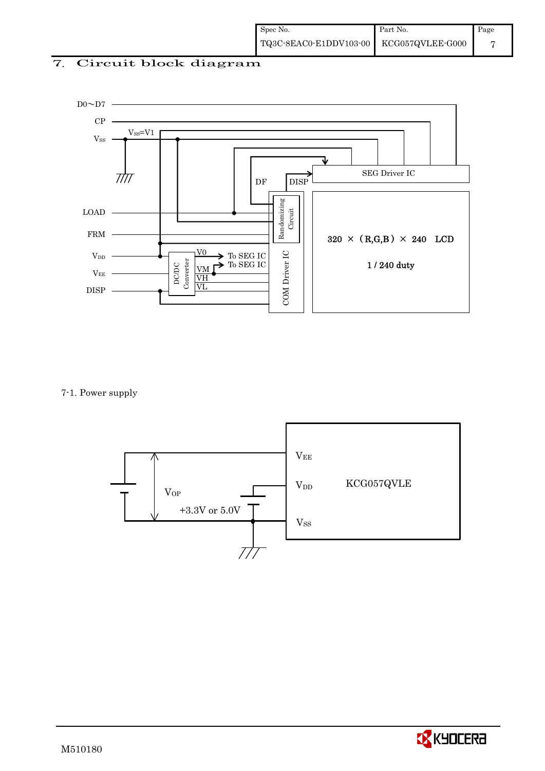# 7. Circuit block diagram



7-1. Power supply



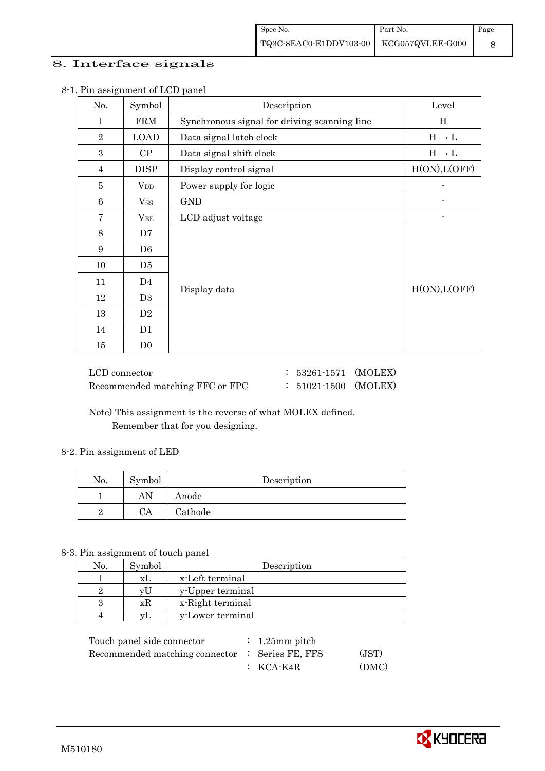# 8. Interface signals

| $\circ$<br>No. | Symbol         | Description                                  | Level         |
|----------------|----------------|----------------------------------------------|---------------|
| $\mathbf{1}$   | <b>FRM</b>     | Synchronous signal for driving scanning line | H             |
| $\overline{2}$ | <b>LOAD</b>    | Data signal latch clock                      | $H\to L$      |
| 3              | CP             | Data signal shift clock                      | $H\to L$      |
| $\overline{4}$ | <b>DISP</b>    | Display control signal                       | H(ON), L(OFF) |
| 5              | $V_{DD}$       | Power supply for logic                       |               |
| $\,6$          | $V_{SS}$       | <b>GND</b>                                   |               |
| $\overline{7}$ | $V_{EE}$       | LCD adjust voltage                           |               |
| 8              | D7             |                                              |               |
| 9              | D <sub>6</sub> |                                              |               |
| 10             | D5             |                                              |               |
| 11             | D4             |                                              |               |
| 12             | D <sub>3</sub> | Display data                                 | H(ON), L(OFF) |
| 13             | D <sub>2</sub> |                                              |               |
| 14             | D1             |                                              |               |
| 15             | D <sub>0</sub> |                                              |               |

#### 8-1. Pin assignment of LCD panel

| LCD connector                   | $: 53261 \cdot 1571$ (MOLEX) |  |
|---------------------------------|------------------------------|--|
| Recommended matching FFC or FPC | $: 51021 - 1500$ (MOLEX)     |  |

 Note) This assignment is the reverse of what MOLEX defined. Remember that for you designing.

#### 8-2. Pin assignment of LED

| No. | Symbol     | Description |
|-----|------------|-------------|
|     | AN         | Anode       |
|     | $C\Lambda$ | Cathode     |

### 8-3. Pin assignment of touch panel

| No. | Symbol | Description      |
|-----|--------|------------------|
|     | xL     | x-Left terminal  |
|     | vU     | y-Upper terminal |
|     | xК     | x-Right terminal |
|     | VL.    | y-Lower terminal |

| Touch panel side connector                      | $\therefore$ 1.25 mm pitch |       |
|-------------------------------------------------|----------------------------|-------|
| Recommended matching connector : Series FE, FFS |                            | (JST) |
|                                                 | $\colon$ KCA-K4R           | (DMC) |

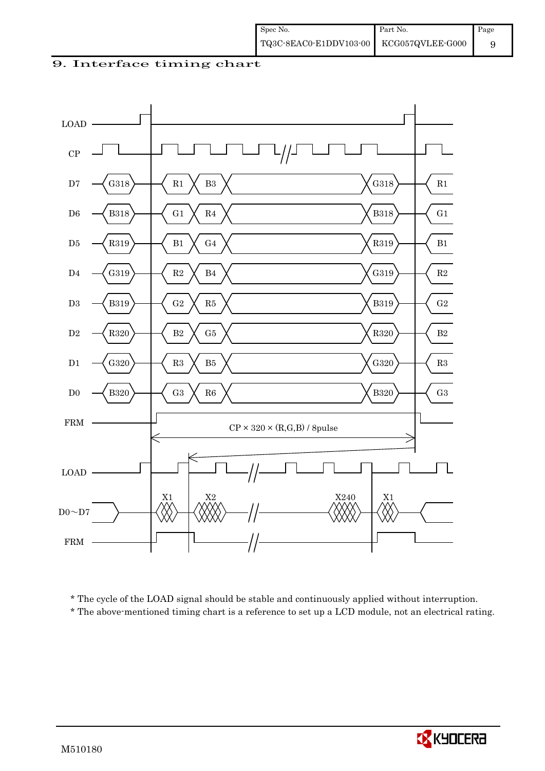9. Interface timing chart



\* The cycle of the LOAD signal should be stable and continuously applied without interruption.

\* The above-mentioned timing chart is a reference to set up a LCD module, not an electrical rating.

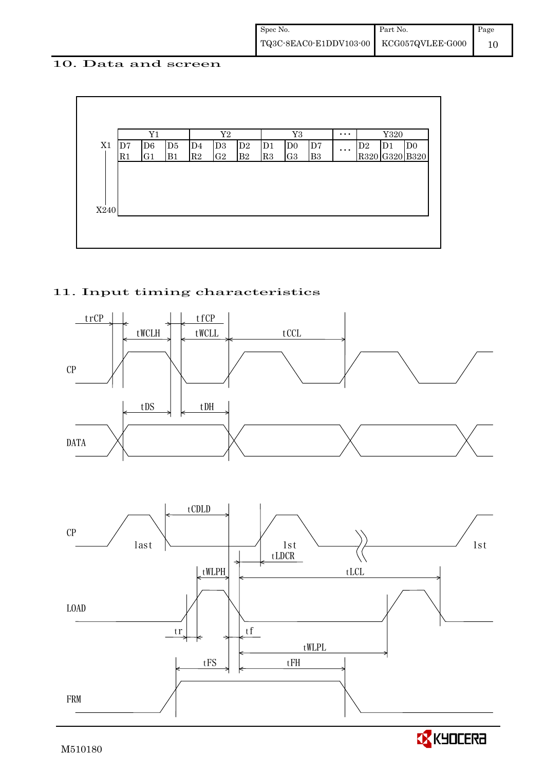### 10. Data and screen



# 11. Input timing characteristics





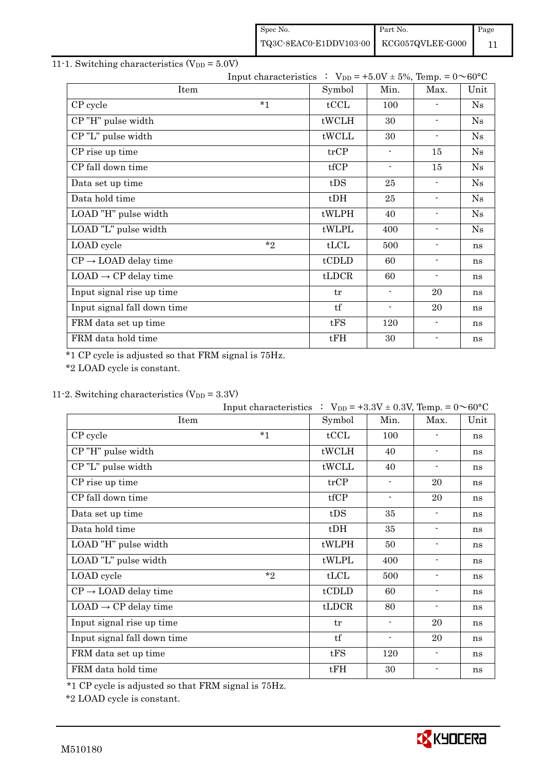| Spec No.                                | Part No. | Page |
|-----------------------------------------|----------|------|
| TQ3C-8EAC0-E1DDV103-00 KCG057QVLEE-G000 |          |      |

# 11-1. Switching characteristics  $(V_{DD} = 5.0V)$

|                                  | Input characteristics : $V_{DD} = +5.0V \pm 5\%$ , Temp. = $0 \sim 60^{\circ}C$ |        |                          |                          |            |
|----------------------------------|---------------------------------------------------------------------------------|--------|--------------------------|--------------------------|------------|
| Item                             |                                                                                 | Symbol | Min.                     | Max.                     | Unit       |
| CP cycle                         | $*_{1}$                                                                         | tCCL   | 100                      |                          | Ns         |
| CP"H" pulse width                |                                                                                 | tWCLH  | 30                       | $\blacksquare$           | Ns         |
| CP"L" pulse width                |                                                                                 | tWCLL  | 30                       | $\blacksquare$           | Ns         |
| CP rise up time                  |                                                                                 | trCP   | $\blacksquare$           | 15                       | ${\rm Ns}$ |
| CP fall down time                |                                                                                 | tfCP   | $\overline{\phantom{a}}$ | 15                       | Ns         |
| Data set up time                 |                                                                                 | tDS    | 25                       | $\blacksquare$           | Ns         |
| Data hold time                   |                                                                                 | $t$ DH | 25                       | $\overline{\phantom{a}}$ | Ns         |
| LOAD "H" pulse width             |                                                                                 | tWLPH  | 40                       | $\blacksquare$           | Ns         |
| LOAD "L" pulse width             |                                                                                 | tWLPL  | 400                      | $\blacksquare$           | Ns         |
| LOAD cycle                       | $*$ ?                                                                           | tLCL   | 500                      | $\blacksquare$           | ns         |
| $CP \rightarrow$ LOAD delay time |                                                                                 | tCDLD  | 60                       | $\overline{\phantom{a}}$ | ns         |
| $LOAD \rightarrow CP$ delay time |                                                                                 | tLDCR  | 60                       | $\blacksquare$           | ns         |
| Input signal rise up time        |                                                                                 | tr     | $\blacksquare$           | 20                       | ns         |
| Input signal fall down time      |                                                                                 | tf     |                          | 20                       | ns         |
| FRM data set up time             |                                                                                 | tFS    | 120                      | $\overline{\phantom{a}}$ | ns         |
| FRM data hold time               |                                                                                 | tFH    | 30                       | $\overline{\phantom{a}}$ | ns         |

\*1 CP cycle is adjusted so that FRM signal is 75Hz.

\*2 LOAD cycle is constant.

# 11-2. Switching characteristics  $(V_{DD} = 3.3V)$

|                                  | Input characteristics : $V_{DD} = +3.3V \pm 0.3V$ , Temp. = $0 \sim 60^{\circ}C$ |                |                          |                          |      |
|----------------------------------|----------------------------------------------------------------------------------|----------------|--------------------------|--------------------------|------|
| Item                             |                                                                                  | Symbol         | Min.                     | Max.                     | Unit |
| CP cycle                         | $*1$                                                                             | tCCL           | 100                      |                          | ns   |
| CP"H" pulse width                |                                                                                  | tWCLH          | 40                       | $\blacksquare$           | ns   |
| CP"L" pulse width                |                                                                                  | tWCLL          | 40                       | $\overline{\phantom{a}}$ | ns   |
| CP rise up time                  |                                                                                  | trCP           | $\overline{\phantom{0}}$ | 20                       | ns   |
| CP fall down time                |                                                                                  | tfCP           | $\blacksquare$           | 20                       | ns   |
| Data set up time                 |                                                                                  | tDS            | 35                       | $\overline{\phantom{a}}$ | ns   |
| Data hold time                   |                                                                                  | $t$ DH         | 35                       | $\overline{\phantom{a}}$ | ns   |
| LOAD "H" pulse width             |                                                                                  | tWLPH          | 50                       | $\blacksquare$           | ns   |
| LOAD "L" pulse width             |                                                                                  | tWLPL          | 400                      | $\overline{\phantom{a}}$ | ns   |
| LOAD cycle                       | $*_{2}$                                                                          | tLCL           | 500                      |                          | ns   |
| $CP \rightarrow$ LOAD delay time |                                                                                  | tCDLD          | 60                       |                          | ns   |
| $LOAD \rightarrow CP$ delay time |                                                                                  | $t\text{LDCR}$ | 80                       | $\overline{\phantom{a}}$ | ns   |
| Input signal rise up time        |                                                                                  | tr             | $\blacksquare$           | 20                       | ns   |
| Input signal fall down time      |                                                                                  | tf             | $\overline{\phantom{a}}$ | 20                       | ns   |
| FRM data set up time             |                                                                                  | tFS            | 120                      | $\blacksquare$           | ns   |
| FRM data hold time               |                                                                                  | tFH            | 30                       | $\blacksquare$           | ns   |

\*1 CP cycle is adjusted so that FRM signal is 75Hz.

\*2 LOAD cycle is constant.

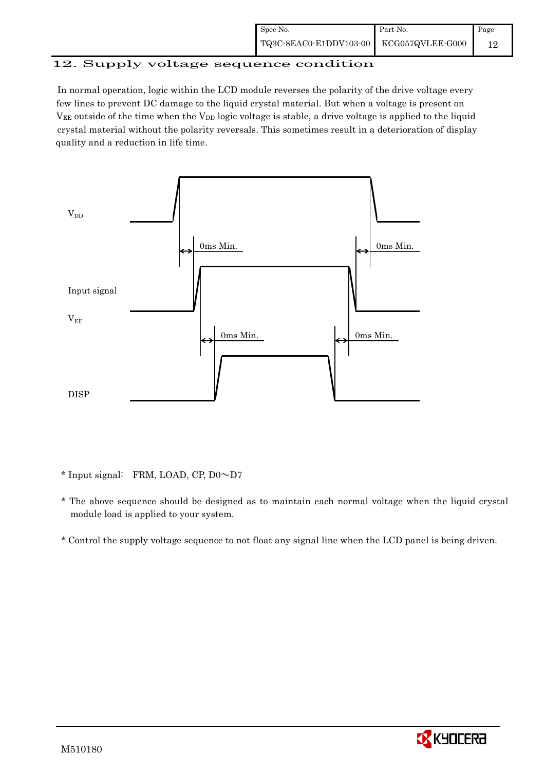| Spec No.                                  | Part No. | Page |
|-------------------------------------------|----------|------|
| TQ3C-8EAC0-E1DDV103-00   KCG057QVLEE-G000 |          |      |

# 12. Supply voltage sequence condition

 In normal operation, logic within the LCD module reverses the polarity of the drive voltage every few lines to prevent DC damage to the liquid crystal material. But when a voltage is present on  $V_{EE}$  outside of the time when the  $V_{DD}$  logic voltage is stable, a drive voltage is applied to the liquid crystal material without the polarity reversals. This sometimes result in a deterioration of display quality and a reduction in life time.



\* Input signal: FRM, LOAD, CP,  $D0 \sim D7$ 

- \* The above sequence should be designed as to maintain each normal voltage when the liquid crystal module load is applied to your system.
- \* Control the supply voltage sequence to not float any signal line when the LCD panel is being driven.

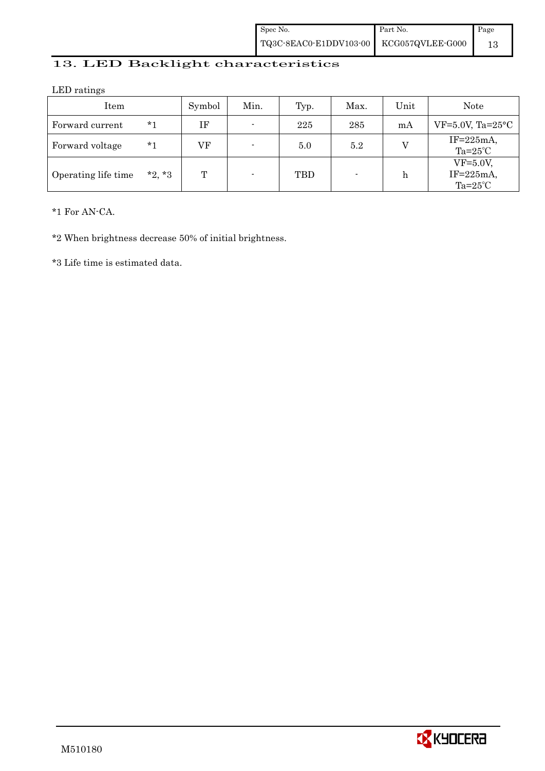| Spec No. | Part No. | Page |
|----------|----------|------|
|          |          |      |

# 13. LED Backlight characteristics

LED ratings

| Item                |          | Symbol | Min.                     | Typ. | Max. | Unit | Note                                              |
|---------------------|----------|--------|--------------------------|------|------|------|---------------------------------------------------|
| Forward current     | $*1$     | ΙF     | $\blacksquare$           | 225  | 285  | mA   | $VF=5.0V$ , Ta= $25^{\circ}$ C                    |
| Forward voltage     | $*1$     | VF     | $\blacksquare$           | 5.0  | 5.2  |      | $IF=225mA,$<br>$Ta=25^{\circ}C$                   |
| Operating life time | $*2, *3$ | T      | $\overline{\phantom{0}}$ | TBD  |      | h    | $VF=5.0V$ ,<br>$IF = 225mA$<br>Ta= $25^{\circ}$ C |

\*1 For AN-CA.

\*2 When brightness decrease 50% of initial brightness.

\*3 Life time is estimated data.

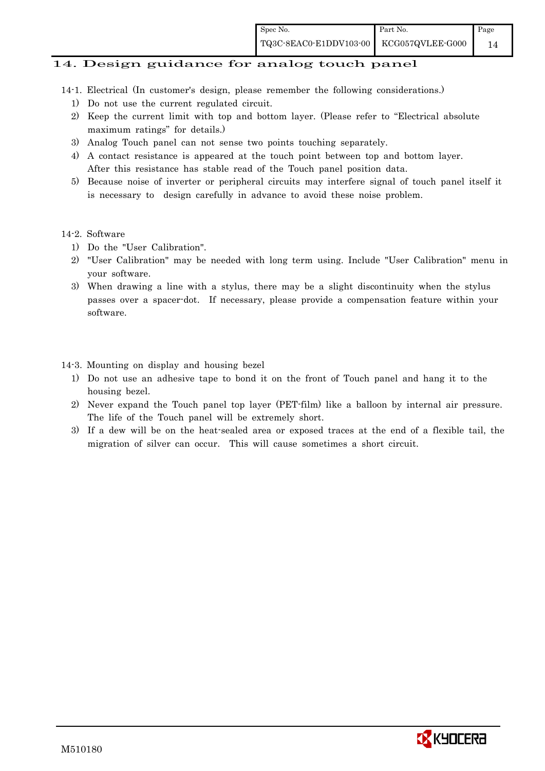### 14. Design guidance for analog touch panel

- 14-1. Electrical (In customer's design, please remember the following considerations.)
	- 1) Do not use the current regulated circuit.
	- 2) Keep the current limit with top and bottom layer. (Please refer to "Electrical absolute maximum ratings" for details.)
	- 3) Analog Touch panel can not sense two points touching separately.
	- 4) A contact resistance is appeared at the touch point between top and bottom layer. After this resistance has stable read of the Touch panel position data.
	- 5) Because noise of inverter or peripheral circuits may interfere signal of touch panel itself it is necessary to design carefully in advance to avoid these noise problem.

#### 14-2. Software

- 1) Do the "User Calibration".
- 2) "User Calibration" may be needed with long term using. Include "User Calibration" menu in your software.
- 3) When drawing a line with a stylus, there may be a slight discontinuity when the stylus passes over a spacer-dot. If necessary, please provide a compensation feature within your software.

#### 14-3. Mounting on display and housing bezel

- 1) Do not use an adhesive tape to bond it on the front of Touch panel and hang it to the housing bezel.
- 2) Never expand the Touch panel top layer (PET-film) like a balloon by internal air pressure. The life of the Touch panel will be extremely short.
- 3) If a dew will be on the heat-sealed area or exposed traces at the end of a flexible tail, the migration of silver can occur. This will cause sometimes a short circuit.

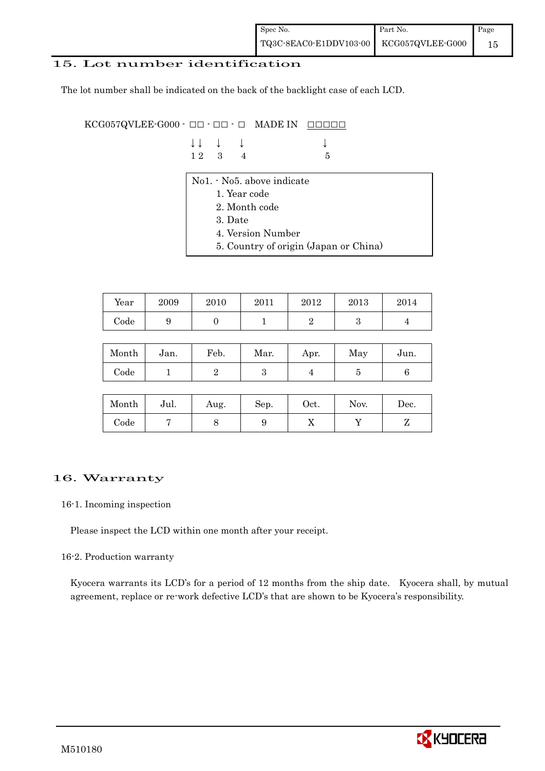### 15. Lot number identification

The lot number shall be indicated on the back of the backlight case of each LCD.

 $KCG057QVLEE-G000 -  $\Box\Box$  -  $\Box$  -  $\Box$  \nMADE IN \n $\Box\Box\Box\Box\Box$$ 

|  | $\downarrow \downarrow \quad \downarrow \quad \downarrow$ |     | $\downarrow$ |
|--|-----------------------------------------------------------|-----|--------------|
|  | $12 \quad 3 \quad 4$                                      | - 5 |              |

- No1. No5. above indicate
	- 1. Year code
	- 2. Month code
	- 3. Date
	- 4. Version Number
	- 5. Country of origin (Japan or China)

| Year | 2009 | 2010 | 2011 | 2012 | 2013 | 2014 |
|------|------|------|------|------|------|------|
| Code | ັ    |      |      |      |      |      |

| Month      | Jan. | Feb. | Mar. | Apr. | May | Jun. |
|------------|------|------|------|------|-----|------|
| $\rm Code$ |      |      | ౿    |      | ౿   |      |

| Month      | Jul. | Aug. | Sep. | $_{\rm Oct.}$ | Nov. | Dec. |
|------------|------|------|------|---------------|------|------|
| $\rm Code$ |      |      |      | ∡⊾            |      |      |

# 16. Warranty

#### 16-1. Incoming inspection

Please inspect the LCD within one month after your receipt.

#### 16-2. Production warranty

 Kyocera warrants its LCD's for a period of 12 months from the ship date. Kyocera shall, by mutual agreement, replace or re-work defective LCD's that are shown to be Kyocera's responsibility.

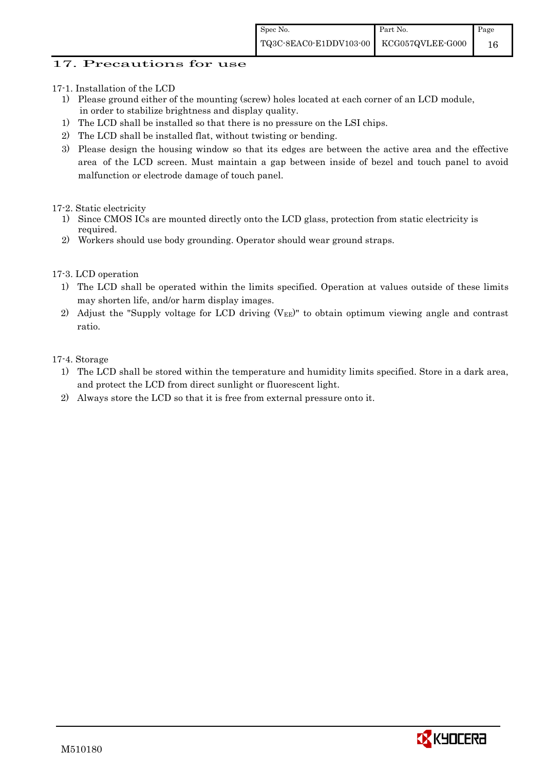# 17. Precautions for use

- 17-1. Installation of the LCD
	- 1) Please ground either of the mounting (screw) holes located at each corner of an LCD module, in order to stabilize brightness and display quality.
	- 1) The LCD shall be installed so that there is no pressure on the LSI chips.
	- 2) The LCD shall be installed flat, without twisting or bending.
	- 3) Please design the housing window so that its edges are between the active area and the effective area of the LCD screen. Must maintain a gap between inside of bezel and touch panel to avoid malfunction or electrode damage of touch panel.
- 17-2. Static electricity
	- 1) Since CMOS ICs are mounted directly onto the LCD glass, protection from static electricity is required.
	- 2) Workers should use body grounding. Operator should wear ground straps.
- 17-3. LCD operation
	- 1) The LCD shall be operated within the limits specified. Operation at values outside of these limits may shorten life, and/or harm display images.
	- 2) Adjust the "Supply voltage for LCD driving  $(V_{EE})$ " to obtain optimum viewing angle and contrast ratio.

17-4. Storage

- 1) The LCD shall be stored within the temperature and humidity limits specified. Store in a dark area, and protect the LCD from direct sunlight or fluorescent light.
- 2) Always store the LCD so that it is free from external pressure onto it.

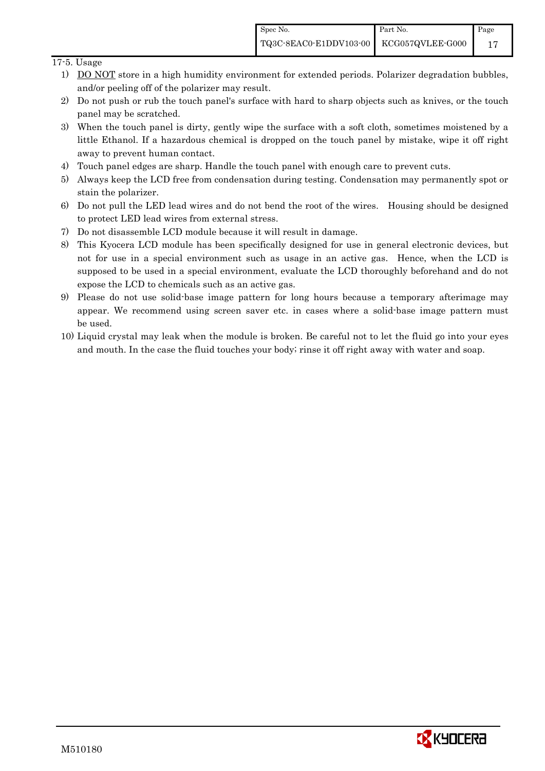### 17-5. Usage

- 1) DO NOT store in a high humidity environment for extended periods. Polarizer degradation bubbles, and/or peeling off of the polarizer may result.
- 2) Do not push or rub the touch panel's surface with hard to sharp objects such as knives, or the touch panel may be scratched.
- 3) When the touch panel is dirty, gently wipe the surface with a soft cloth, sometimes moistened by a little Ethanol. If a hazardous chemical is dropped on the touch panel by mistake, wipe it off right away to prevent human contact.
- 4) Touch panel edges are sharp. Handle the touch panel with enough care to prevent cuts.
- 5) Always keep the LCD free from condensation during testing. Condensation may permanently spot or stain the polarizer.
- 6) Do not pull the LED lead wires and do not bend the root of the wires. Housing should be designed to protect LED lead wires from external stress.
- 7) Do not disassemble LCD module because it will result in damage.
- 8) This Kyocera LCD module has been specifically designed for use in general electronic devices, but not for use in a special environment such as usage in an active gas. Hence, when the LCD is supposed to be used in a special environment, evaluate the LCD thoroughly beforehand and do not expose the LCD to chemicals such as an active gas.
- 9) Please do not use solid-base image pattern for long hours because a temporary afterimage may appear. We recommend using screen saver etc. in cases where a solid-base image pattern must be used.
- 10) Liquid crystal may leak when the module is broken. Be careful not to let the fluid go into your eyes and mouth. In the case the fluid touches your body; rinse it off right away with water and soap.

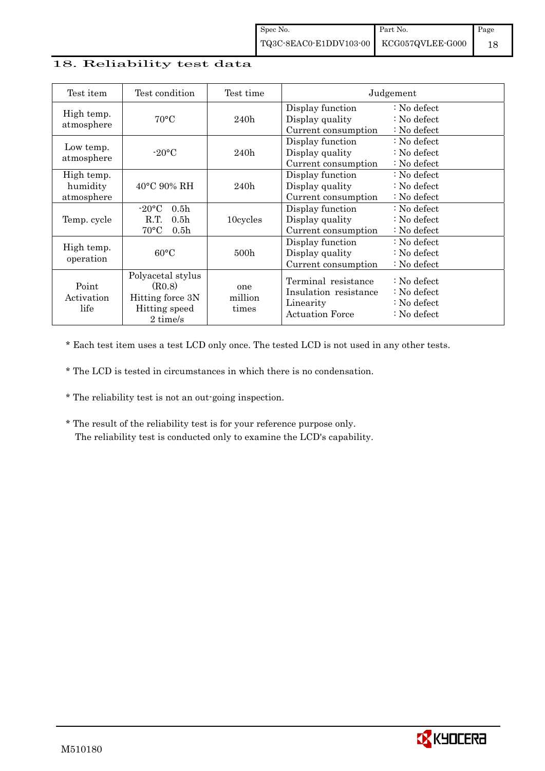### 18. Reliability test data

| Test item                            | Test condition                                                                                           | Test time               |                                                                                     | Judgement                                                                                            |
|--------------------------------------|----------------------------------------------------------------------------------------------------------|-------------------------|-------------------------------------------------------------------------------------|------------------------------------------------------------------------------------------------------|
| High temp.<br>atmosphere             | $70^{\circ}$ C                                                                                           | 240h                    | Display function<br>Display quality<br>Current consumption                          | : No defect<br>: No defect<br>: No defect                                                            |
| Low temp.<br>atmosphere              | $-20$ °C                                                                                                 | 240h                    | Display function<br>Display quality<br>Current consumption                          | $\therefore$ No defect<br>$\therefore$ No defect<br>$\therefore$ No defect                           |
| High temp.<br>humidity<br>atmosphere | $40^{\circ}$ C 90% RH                                                                                    | 240h                    | Display function<br>Display quality<br>Current consumption                          | $\therefore$ No defect<br>$\therefore$ No defect<br>$\therefore$ No defect                           |
| Temp. cycle                          | $-20\textdegree C$<br>0.5 <sub>h</sub><br>R.T.<br>0.5 <sub>h</sub><br>$70^{\circ}$ C<br>0.5 <sub>h</sub> | 10cycles                | Display function<br>Display quality<br>Current consumption                          | $\therefore$ No defect<br>$\therefore$ No defect<br>$\therefore$ No defect                           |
| High temp.<br>operation              | $60^{\circ}$ C                                                                                           | 500h                    | Display function<br>Display quality<br>Current consumption                          | : No defect<br>$\therefore$ No defect<br>: No defect                                                 |
| Point<br>Activation<br>life          | Polyacetal stylus<br>(R0.8)<br>Hitting force 3N<br>Hitting speed<br>2 time/s                             | one<br>million<br>times | Terminal resistance<br>Insulation resistance<br>Linearity<br><b>Actuation Force</b> | $\therefore$ No defect<br>$\therefore$ No defect<br>$\therefore$ No defect<br>$\therefore$ No defect |

\* Each test item uses a test LCD only once. The tested LCD is not used in any other tests.

\* The LCD is tested in circumstances in which there is no condensation.

- \* The reliability test is not an out-going inspection.
- \* The result of the reliability test is for your reference purpose only. The reliability test is conducted only to examine the LCD's capability.

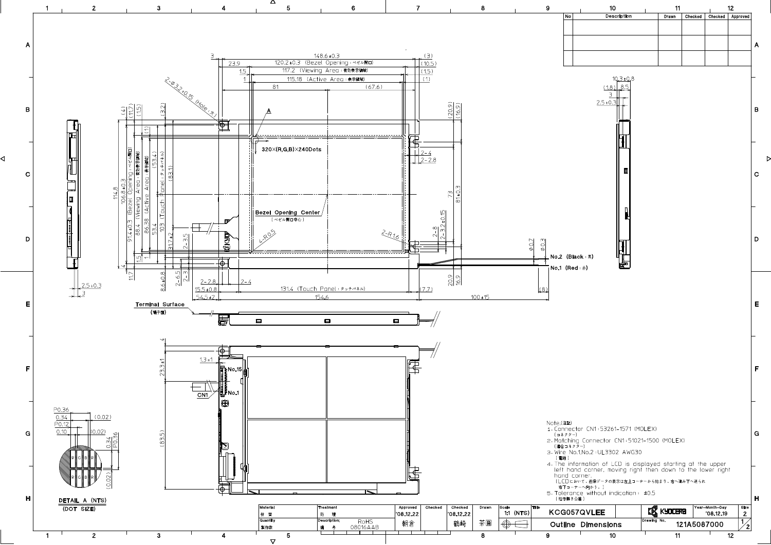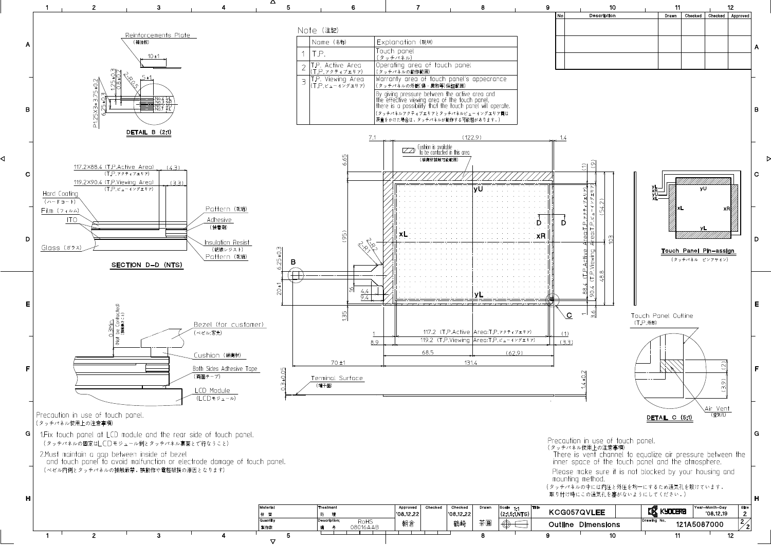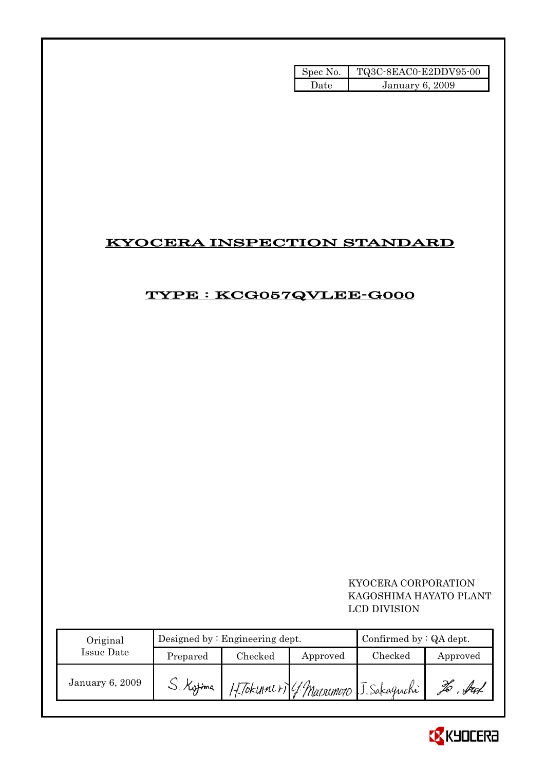| Spec No. | TQ3C-8EAC0-E2DDV95-00  |
|----------|------------------------|
| Date     | <b>January 6, 2009</b> |

# KYOCERA INSPECTION STANDARD

# TYPE : KCG057QVLEE-G000

# KYOCERA CORPORATION KAGOSHIMA HAYATO PLANT LCD DIVISION

| Original        |           | Designed by $:$ Engineering dept. | Confirmed by $:QA$ dept. |                                        |          |
|-----------------|-----------|-----------------------------------|--------------------------|----------------------------------------|----------|
| Issue Date      | Prepared  | Checked                           | Approved                 | Checked                                | Approved |
| January 6, 2009 | S. Kytima |                                   |                          | H. Tokumi ri 4. Matrimoro J. Sakaguchi | fran     |

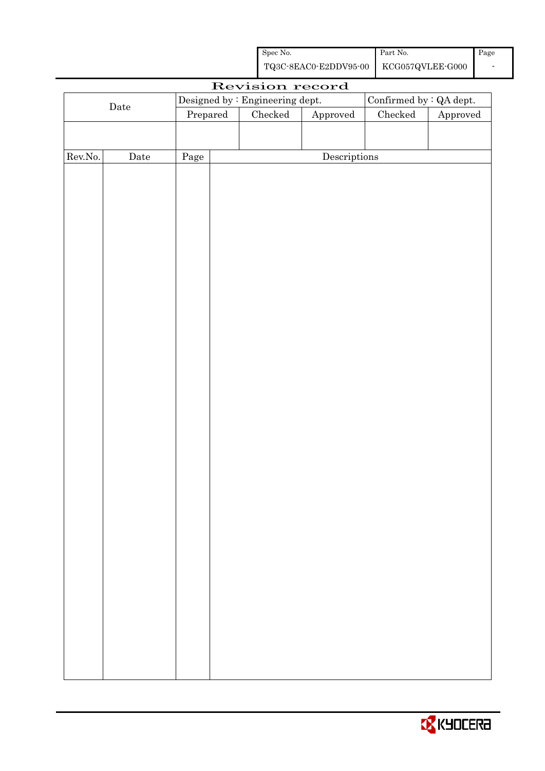| Spec No.                               | Part No. | Page |
|----------------------------------------|----------|------|
| TQ3C-8EAC0-E2DDV95-00 KCG057QVLEE-G000 |          |      |

|         |                      |                                                                |  | Revision record                 |              |                         |  |
|---------|----------------------|----------------------------------------------------------------|--|---------------------------------|--------------|-------------------------|--|
|         |                      |                                                                |  | Designed by : Engineering dept. |              | Confirmed by : QA dept. |  |
|         | $\rm{\textbf{Date}}$ | Checked<br>$\rm Checked$<br>Prepared<br>${\Large\bf Approved}$ |  | Approved                        |              |                         |  |
|         |                      |                                                                |  |                                 |              |                         |  |
|         |                      |                                                                |  |                                 |              |                         |  |
| Rev.No. | $\rm{Date}$          | Page                                                           |  |                                 | Descriptions |                         |  |
|         |                      |                                                                |  |                                 |              |                         |  |
|         |                      |                                                                |  |                                 |              |                         |  |
|         |                      |                                                                |  |                                 |              |                         |  |
|         |                      |                                                                |  |                                 |              |                         |  |
|         |                      |                                                                |  |                                 |              |                         |  |
|         |                      |                                                                |  |                                 |              |                         |  |
|         |                      |                                                                |  |                                 |              |                         |  |
|         |                      |                                                                |  |                                 |              |                         |  |
|         |                      |                                                                |  |                                 |              |                         |  |
|         |                      |                                                                |  |                                 |              |                         |  |
|         |                      |                                                                |  |                                 |              |                         |  |
|         |                      |                                                                |  |                                 |              |                         |  |
|         |                      |                                                                |  |                                 |              |                         |  |
|         |                      |                                                                |  |                                 |              |                         |  |
|         |                      |                                                                |  |                                 |              |                         |  |
|         |                      |                                                                |  |                                 |              |                         |  |
|         |                      |                                                                |  |                                 |              |                         |  |
|         |                      |                                                                |  |                                 |              |                         |  |
|         |                      |                                                                |  |                                 |              |                         |  |
|         |                      |                                                                |  |                                 |              |                         |  |
|         |                      |                                                                |  |                                 |              |                         |  |
|         |                      |                                                                |  |                                 |              |                         |  |
|         |                      |                                                                |  |                                 |              |                         |  |
|         |                      |                                                                |  |                                 |              |                         |  |
|         |                      |                                                                |  |                                 |              |                         |  |
|         |                      |                                                                |  |                                 |              |                         |  |
|         |                      |                                                                |  |                                 |              |                         |  |
|         |                      |                                                                |  |                                 |              |                         |  |
|         |                      |                                                                |  |                                 |              |                         |  |
|         |                      |                                                                |  |                                 |              |                         |  |
|         |                      |                                                                |  |                                 |              |                         |  |
|         |                      |                                                                |  |                                 |              |                         |  |
|         |                      |                                                                |  |                                 |              |                         |  |
|         |                      |                                                                |  |                                 |              |                         |  |
|         |                      |                                                                |  |                                 |              |                         |  |
|         |                      |                                                                |  |                                 |              |                         |  |

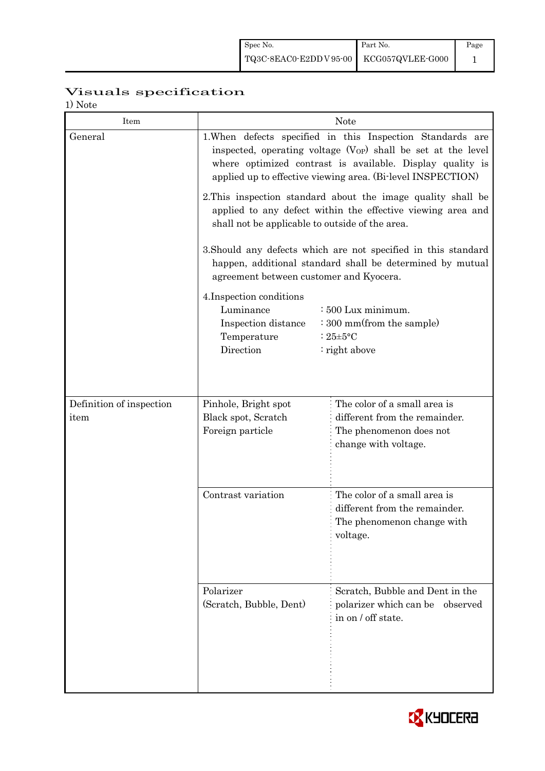| Spec No.                               | Part No. | Page |
|----------------------------------------|----------|------|
| TQ3C-8EAC0-E2DDV95-00 KCG057QVLEE-G000 |          |      |

# Visuals specification

1) Note

| Item                     | <b>Note</b>                                                                                                                                                                                                                                                                                                                                                                                                                                                                                                                                                                                                                                                                                                                                                                                                |                                                                                                         |  |  |  |
|--------------------------|------------------------------------------------------------------------------------------------------------------------------------------------------------------------------------------------------------------------------------------------------------------------------------------------------------------------------------------------------------------------------------------------------------------------------------------------------------------------------------------------------------------------------------------------------------------------------------------------------------------------------------------------------------------------------------------------------------------------------------------------------------------------------------------------------------|---------------------------------------------------------------------------------------------------------|--|--|--|
| General                  | 1. When defects specified in this Inspection Standards are<br>inspected, operating voltage $(V_{OP})$ shall be set at the level<br>where optimized contrast is available. Display quality is<br>applied up to effective viewing area. (Bi-level INSPECTION)<br>2. This inspection standard about the image quality shall be<br>applied to any defect within the effective viewing area and<br>shall not be applicable to outside of the area.<br>3. Should any defects which are not specified in this standard<br>happen, additional standard shall be determined by mutual<br>agreement between customer and Kyocera.<br>4. Inspection conditions<br>Luminance<br>: 500 Lux minimum.<br>: 300 mm(from the sample)<br>Inspection distance<br>Temperature<br>: $25 \pm 5$ °C<br>Direction<br>: right above |                                                                                                         |  |  |  |
|                          |                                                                                                                                                                                                                                                                                                                                                                                                                                                                                                                                                                                                                                                                                                                                                                                                            |                                                                                                         |  |  |  |
|                          |                                                                                                                                                                                                                                                                                                                                                                                                                                                                                                                                                                                                                                                                                                                                                                                                            |                                                                                                         |  |  |  |
|                          |                                                                                                                                                                                                                                                                                                                                                                                                                                                                                                                                                                                                                                                                                                                                                                                                            |                                                                                                         |  |  |  |
| Definition of inspection | Pinhole, Bright spot                                                                                                                                                                                                                                                                                                                                                                                                                                                                                                                                                                                                                                                                                                                                                                                       | The color of a small area is                                                                            |  |  |  |
| item                     | Black spot, Scratch<br>Foreign particle                                                                                                                                                                                                                                                                                                                                                                                                                                                                                                                                                                                                                                                                                                                                                                    | different from the remainder.<br>The phenomenon does not<br>change with voltage.                        |  |  |  |
|                          | Contrast variation                                                                                                                                                                                                                                                                                                                                                                                                                                                                                                                                                                                                                                                                                                                                                                                         | The color of a small area is<br>different from the remainder.<br>The phenomenon change with<br>voltage. |  |  |  |
|                          | Polarizer<br>(Scratch, Bubble, Dent)                                                                                                                                                                                                                                                                                                                                                                                                                                                                                                                                                                                                                                                                                                                                                                       | Scratch, Bubble and Dent in the<br>polarizer which can be<br>observed<br>in on / off state.             |  |  |  |

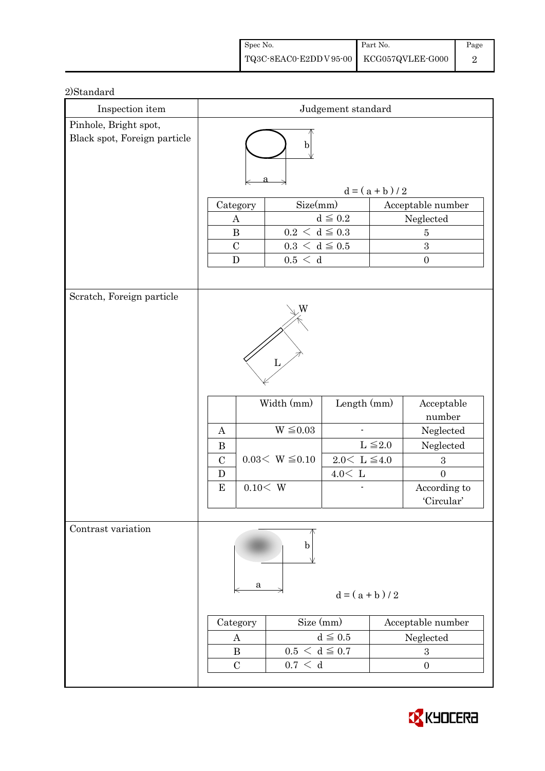| Spec No.                                                                                                  | Part No. | Page |
|-----------------------------------------------------------------------------------------------------------|----------|------|
| $\left. {\rm TQ3C\text{-}8EAC0\text{-}E2DD\,V\,95\text{-}00} \; \right  \; {\rm KCG057QVLEE\text{-}G000}$ |          |      |

| Inspection item              | Judgement standard                                                                                                                                                                                              |                                                                         |                                                        |                 |                                                                                                                    |  |
|------------------------------|-----------------------------------------------------------------------------------------------------------------------------------------------------------------------------------------------------------------|-------------------------------------------------------------------------|--------------------------------------------------------|-----------------|--------------------------------------------------------------------------------------------------------------------|--|
| Pinhole, Bright spot,        |                                                                                                                                                                                                                 |                                                                         |                                                        |                 |                                                                                                                    |  |
| Black spot, Foreign particle | b                                                                                                                                                                                                               |                                                                         |                                                        |                 |                                                                                                                    |  |
|                              |                                                                                                                                                                                                                 |                                                                         |                                                        | $d = (a + b)/2$ |                                                                                                                    |  |
|                              | Category                                                                                                                                                                                                        | Size(mm)                                                                |                                                        |                 | Acceptable number                                                                                                  |  |
|                              | A                                                                                                                                                                                                               |                                                                         | $d \leq 0.2$                                           |                 | Neglected                                                                                                          |  |
|                              | $\bf{B}$                                                                                                                                                                                                        | $0.2\,<\,\mathrm{d}\leq0.3$                                             |                                                        |                 | $\overline{5}$                                                                                                     |  |
|                              | $\mathcal{C}$                                                                                                                                                                                                   | $0.3\,<\,\mathrm{d}\leq0.5$                                             |                                                        | 3               |                                                                                                                    |  |
|                              | $\mathbf D$                                                                                                                                                                                                     | 0.5 < d                                                                 |                                                        |                 | $\boldsymbol{0}$                                                                                                   |  |
|                              |                                                                                                                                                                                                                 |                                                                         |                                                        |                 |                                                                                                                    |  |
| Scratch, Foreign particle    | A<br>$\bf{B}$<br>$\mathcal{C}$<br>D<br>${\bf E}$                                                                                                                                                                | W<br>L<br>Width (mm)<br>$W \leq 0.03$<br>$0.03< W \leq 0.10$<br>0.10< W | Length (mm)<br>$2.0\leq\,$ L $\leq\!4.0$<br>$4.0<\,$ L | $L \leq 2.0$    | Acceptable<br>number<br>Neglected<br>Neglected<br>$\boldsymbol{3}$<br>$\overline{0}$<br>According to<br>'Circular' |  |
| Contrast variation           | b<br>a<br>$d = (a + b)/2$<br>Size (mm)<br>Category<br>Acceptable number<br>$d \leq 0.5$<br>Neglected<br>A<br>$0.5 < d \leq 0.7$<br>$\bf{B}$<br>$\boldsymbol{3}$<br>$\mathcal{C}$<br>0.7 < d<br>$\boldsymbol{0}$ |                                                                         |                                                        |                 |                                                                                                                    |  |

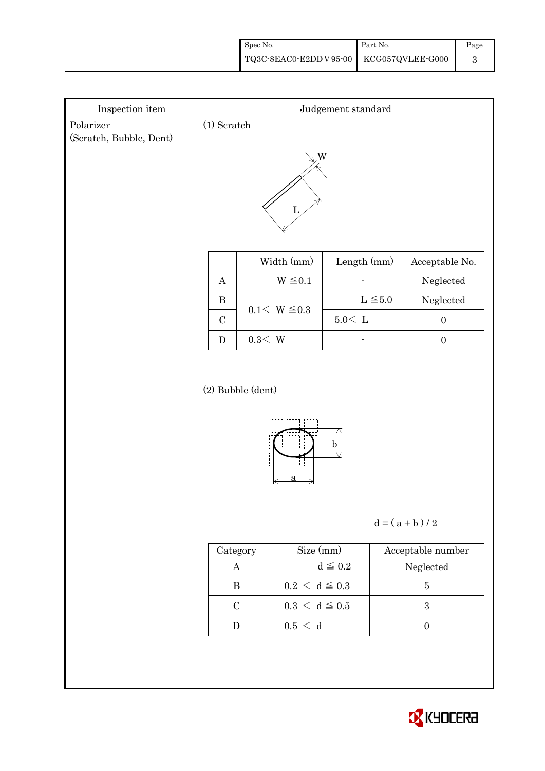| Spec No.                                                                                            | Part No. | Page |
|-----------------------------------------------------------------------------------------------------|----------|------|
| $\left. {\rm TQ3C\text{-}8EAC0\text{-}E2DD\,V\,95\text{-}00} \right  {\rm \  \, KCG057QVLEE\,G000}$ |          |      |

| Inspection item                      | Judgement standard                            |                             |               |                   |  |  |  |
|--------------------------------------|-----------------------------------------------|-----------------------------|---------------|-------------------|--|--|--|
| Polarizer<br>(Scratch, Bubble, Dent) | $(1)$ Scratch                                 |                             |               |                   |  |  |  |
|                                      | W                                             |                             |               |                   |  |  |  |
|                                      | Width (mm)<br>Length (mm)<br>Acceptable No.   |                             |               |                   |  |  |  |
|                                      | $\boldsymbol{A}$                              | $W \leq 0.1$                |               | Neglected         |  |  |  |
|                                      | $\, {\bf B}$                                  | $0.1 < W \le 0.3$           | $L \leq 5.0$  | $\rm Neglected$   |  |  |  |
|                                      | $\mathbf C$                                   |                             | $5.0\rm <\ L$ | $\boldsymbol{0}$  |  |  |  |
|                                      | ${\bf D}$                                     | $0.3\rm\!<\,W$              |               | $\boldsymbol{0}$  |  |  |  |
|                                      |                                               |                             |               |                   |  |  |  |
|                                      | (2) Bubble (dent)                             |                             |               |                   |  |  |  |
|                                      | $\mathbf{b}$<br>$d = (a + b)/2$               |                             |               |                   |  |  |  |
|                                      | $\sf{Category}$                               | Size (mm)                   |               | Acceptable number |  |  |  |
|                                      | $d\leqq0.2$<br>$\bf{A}$                       |                             |               | ${\bf Neglected}$ |  |  |  |
|                                      | $\, {\bf B}$                                  | $0.2\,<\,\mathrm{d}\leq0.3$ |               | $\bf 5$           |  |  |  |
|                                      | $\mathbf C$                                   | $0.3\,<\,\mathrm{d}\leq0.5$ |               | $\,3\,$           |  |  |  |
|                                      | $0.5\,<\,$ d<br>${\bf D}$<br>$\boldsymbol{0}$ |                             |               |                   |  |  |  |
|                                      |                                               |                             |               |                   |  |  |  |